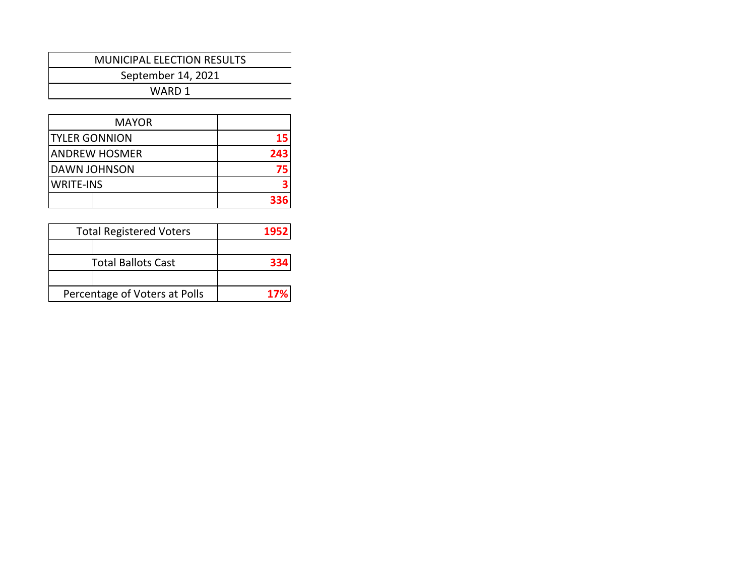September 14, 2021

| <b>MAYOR</b>         |     |
|----------------------|-----|
| <b>TYLER GONNION</b> |     |
| <b>ANDREW HOSMER</b> | 243 |
| DAWN JOHNSON         |     |
| <b>WRITE-INS</b>     |     |
|                      | 336 |

| <b>Total Registered Voters</b> | 1952 |
|--------------------------------|------|
|                                |      |
| <b>Total Ballots Cast</b>      | 334  |
|                                |      |
| Percentage of Voters at Polls  | 17%  |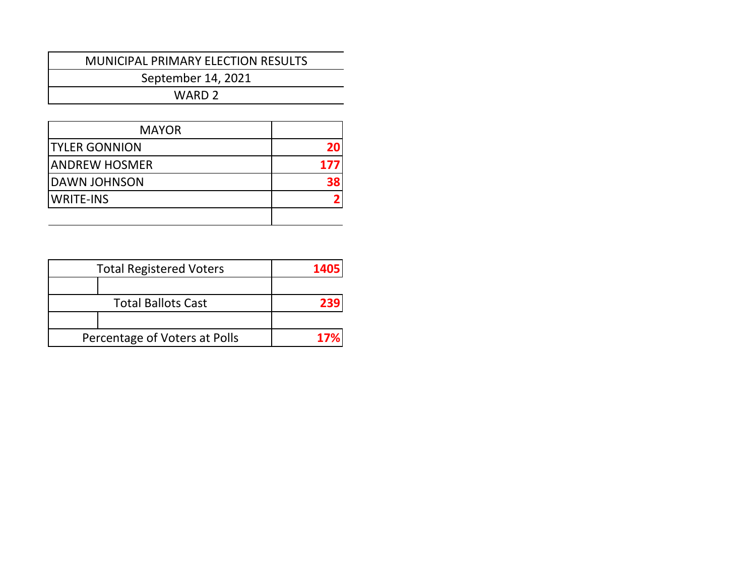## MUNICIPAL PRIMARY ELECTION RESULTS

September 14, 2021

| <b>MAYOR</b>         |     |
|----------------------|-----|
| <b>TYLER GONNION</b> |     |
| IANDREW HOSMER       | 177 |
| DAWN JOHNSON         |     |
| WRITE-INS            |     |
|                      |     |

| <b>Total Registered Voters</b> | 1405 |
|--------------------------------|------|
|                                |      |
| <b>Total Ballots Cast</b>      | 239  |
|                                |      |
| Percentage of Voters at Polls  | 17%  |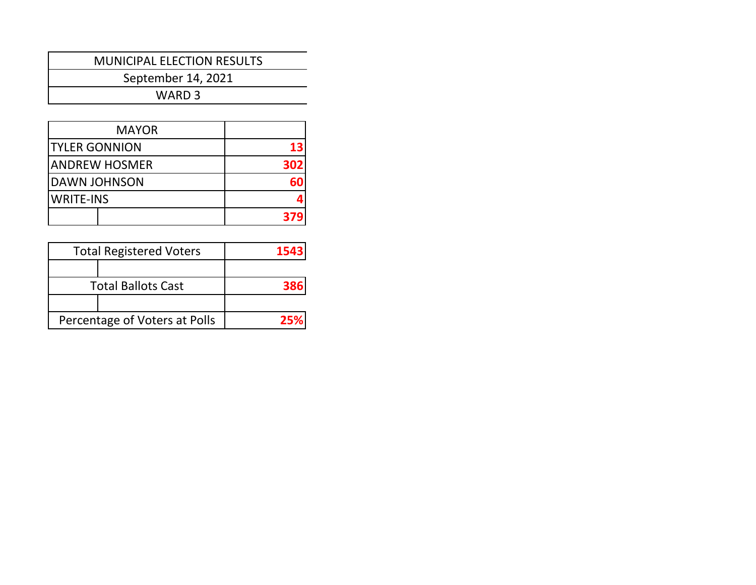September 14, 2021

| <b>MAYOR</b>         |     |
|----------------------|-----|
| <b>TYLER GONNION</b> | 13  |
| ANDREW HOSMER        | 302 |
| IDAWN JOHNSON        |     |
| <b>WRITE-INS</b>     |     |
|                      | 37  |

| <b>Total Registered Voters</b> | 1543 |
|--------------------------------|------|
|                                |      |
| <b>Total Ballots Cast</b>      | 386  |
|                                |      |
| Percentage of Voters at Polls  | 25%  |
|                                |      |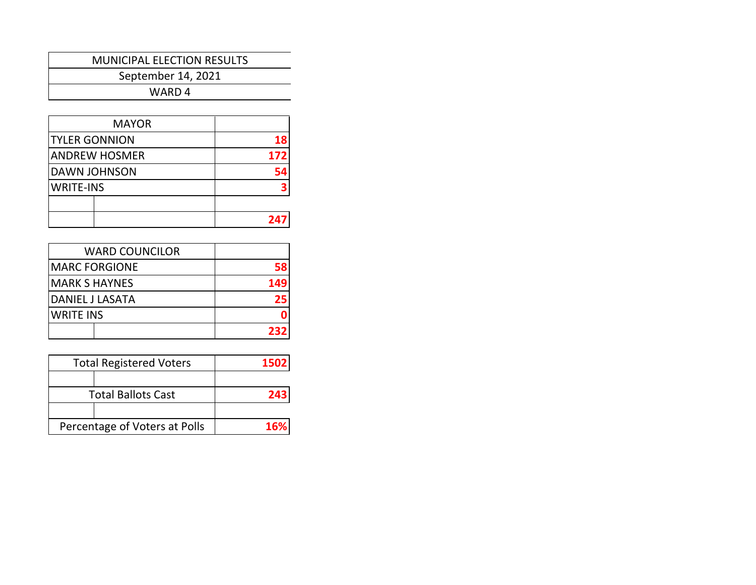September 14, 2021

| <b>MAYOR</b>         |     |
|----------------------|-----|
| <b>TYLER GONNION</b> | 18  |
| <b>ANDREW HOSMER</b> | 172 |
| <b>DAWN JOHNSON</b>  | 54  |
| <b>WRITE-INS</b>     |     |
|                      |     |
|                      | 24  |

| <b>WARD COUNCILOR</b> |     |
|-----------------------|-----|
| <b>MARC FORGIONE</b>  | 58  |
| <b>MARK S HAYNES</b>  | 149 |
| DANIEL J LASATA       | 25  |
| <b>WRITE INS</b>      |     |
|                       | 232 |

| <b>Total Registered Voters</b> | 1502 |
|--------------------------------|------|
|                                |      |
| <b>Total Ballots Cast</b>      | 243  |
|                                |      |
| Percentage of Voters at Polls  | 16%  |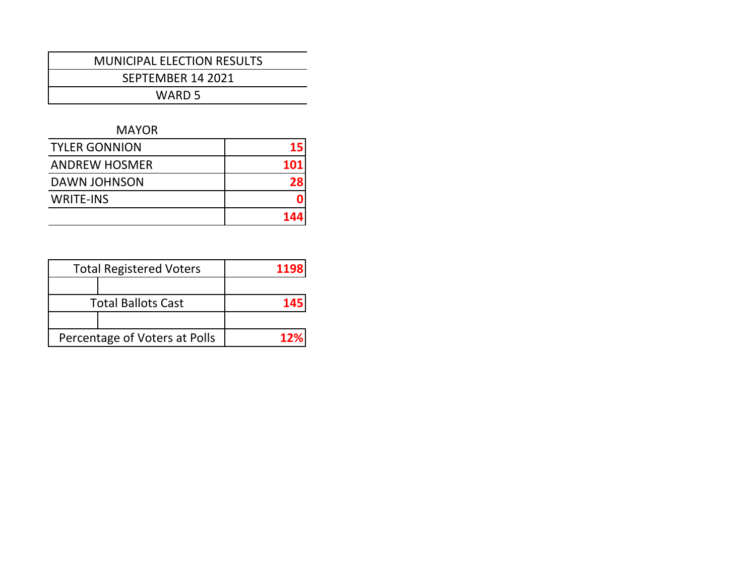SEPTEMBER 14 2021

WARD 5

#### MAYOR

| <b>TYLER GONNION</b> | 15         |
|----------------------|------------|
| <b>ANDREW HOSMER</b> | <b>101</b> |
| <b>DAWN JOHNSON</b>  | 28         |
| <b>WRITE-INS</b>     |            |
|                      | 144        |

| <b>Total Registered Voters</b> | 1198 |
|--------------------------------|------|
|                                |      |
| <b>Total Ballots Cast</b>      | 145  |
|                                |      |
| Percentage of Voters at Polls  | 12%  |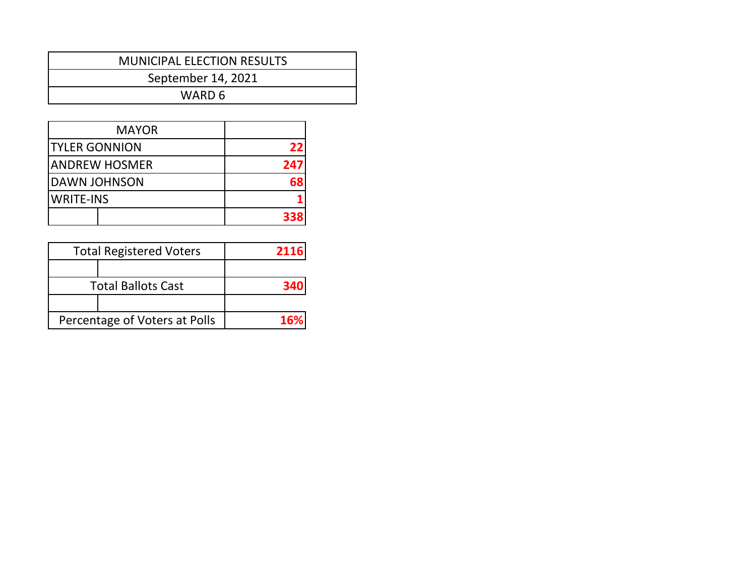| <b>MUNICIPAL ELECTION RESULTS</b> |  |
|-----------------------------------|--|
| September 14, 2021                |  |
| WARD 6                            |  |

| <b>MAYOR</b>         |     |
|----------------------|-----|
| <b>TYLER GONNION</b> | 22  |
| ANDREW HOSMER        | 247 |
| DAWN JOHNSON         | 68  |
| <b>WRITE-INS</b>     |     |
|                      | 338 |

| <b>Total Registered Voters</b> | 2116 |
|--------------------------------|------|
|                                |      |
| <b>Total Ballots Cast</b>      | 340  |
|                                |      |
| Percentage of Voters at Polls  | 16%  |